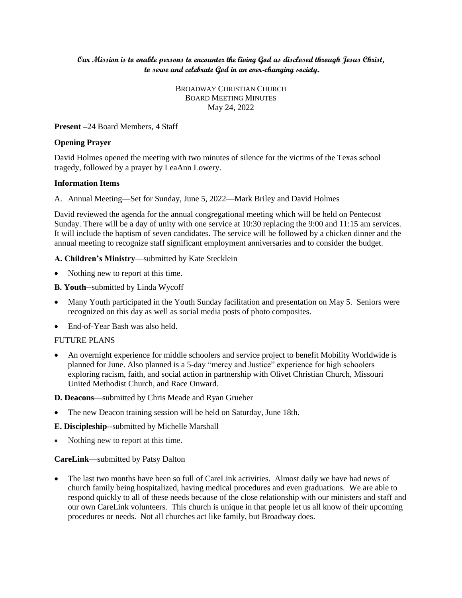## **Our Mission is to enable persons to encounter the living God as disclosed through Jesus Christ, to serve and celebrate God in an ever-changing society.**

BROADWAY CHRISTIAN CHURCH BOARD MEETING MINUTES May 24, 2022

### **Present –**24 Board Members, 4 Staff

### **Opening Prayer**

David Holmes opened the meeting with two minutes of silence for the victims of the Texas school tragedy, followed by a prayer by LeaAnn Lowery.

### **Information Items**

A. Annual Meeting—Set for Sunday, June 5, 2022—Mark Briley and David Holmes

David reviewed the agenda for the annual congregational meeting which will be held on Pentecost Sunday. There will be a day of unity with one service at 10:30 replacing the 9:00 and 11:15 am services. It will include the baptism of seven candidates. The service will be followed by a chicken dinner and the annual meeting to recognize staff significant employment anniversaries and to consider the budget.

### **A. Children's Ministry**—submitted by Kate Stecklein

Nothing new to report at this time.

**B. Youth**--submitted by Linda Wycoff

- Many Youth participated in the Youth Sunday facilitation and presentation on May 5. Seniors were recognized on this day as well as social media posts of photo composites.
- End-of-Year Bash was also held.

## FUTURE PLANS

 An overnight experience for middle schoolers and service project to benefit Mobility Worldwide is planned for June. Also planned is a 5-day "mercy and Justice" experience for high schoolers exploring racism, faith, and social action in partnership with Olivet Christian Church, Missouri United Methodist Church, and Race Onward.

**D. Deacons**—submitted by Chris Meade and Ryan Grueber

The new Deacon training session will be held on Saturday, June 18th.

**E. Discipleship**--submitted by Michelle Marshall

• Nothing new to report at this time.

## **CareLink**—submitted by Patsy Dalton

• The last two months have been so full of CareLink activities. Almost daily we have had news of church family being hospitalized, having medical procedures and even graduations. We are able to respond quickly to all of these needs because of the close relationship with our ministers and staff and our own CareLink volunteers. This church is unique in that people let us all know of their upcoming procedures or needs. Not all churches act like family, but Broadway does.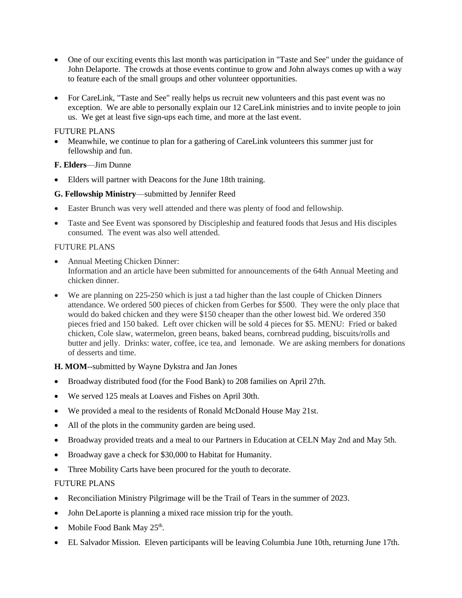- One of our exciting events this last month was participation in "Taste and See" under the guidance of John Delaporte. The crowds at those events continue to grow and John always comes up with a way to feature each of the small groups and other volunteer opportunities.
- For CareLink, "Taste and See" really helps us recruit new volunteers and this past event was no exception. We are able to personally explain our 12 CareLink ministries and to invite people to join us. We get at least five sign-ups each time, and more at the last event.

## FUTURE PLANS

 Meanwhile, we continue to plan for a gathering of CareLink volunteers this summer just for fellowship and fun.

# **F. Elders**—Jim Dunne

Elders will partner with Deacons for the June 18th training.

# **G. Fellowship Ministry**—submitted by Jennifer Reed

- Easter Brunch was very well attended and there was plenty of food and fellowship.
- Taste and See Event was sponsored by Discipleship and featured foods that Jesus and His disciples consumed. The event was also well attended.

# FUTURE PLANS

- Annual Meeting Chicken Dinner: Information and an article have been submitted for announcements of the 64th Annual Meeting and chicken dinner.
- We are planning on 225-250 which is just a tad higher than the last couple of Chicken Dinners attendance. We ordered 500 pieces of chicken from Gerbes for \$500. They were the only place that would do baked chicken and they were \$150 cheaper than the other lowest bid. We ordered 350 pieces fried and 150 baked. Left over chicken will be sold 4 pieces for \$5. MENU: Fried or baked chicken, Cole slaw, watermelon, green beans, baked beans, cornbread pudding, biscuits/rolls and butter and jelly. Drinks: water, coffee, ice tea, and lemonade. We are asking members for donations of desserts and time.

# **H. MOM**--submitted by Wayne Dykstra and Jan Jones

- Broadway distributed food (for the Food Bank) to 208 families on April 27th.
- We served 125 meals at Loaves and Fishes on April 30th.
- We provided a meal to the residents of Ronald McDonald House May 21st.
- All of the plots in the community garden are being used.
- Broadway provided treats and a meal to our Partners in Education at CELN May 2nd and May 5th.
- Broadway gave a check for \$30,000 to Habitat for Humanity.
- Three Mobility Carts have been procured for the youth to decorate.

# FUTURE PLANS

- Reconciliation Ministry Pilgrimage will be the Trail of Tears in the summer of 2023.
- John DeLaporte is planning a mixed race mission trip for the youth.
- Mobile Food Bank May  $25<sup>th</sup>$ .
- EL Salvador Mission. Eleven participants will be leaving Columbia June 10th, returning June 17th.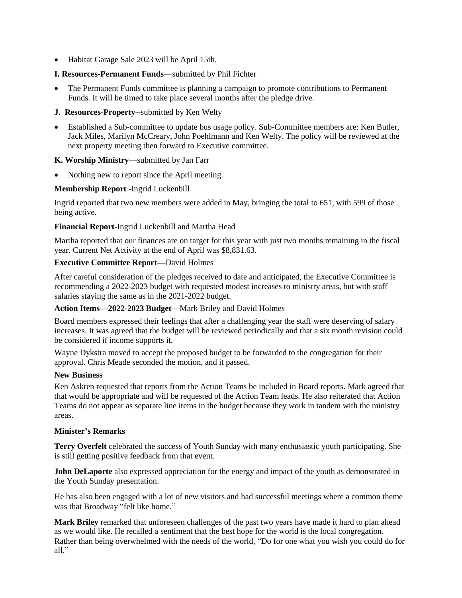Habitat Garage Sale 2023 will be April 15th.

## **I. Resources-Permanent Funds**—submitted by Phil Fichter

- The Permanent Funds committee is planning a campaign to promote contributions to Permanent Funds. It will be timed to take place several months after the pledge drive.
- **J. Resources-Property**--submitted by Ken Welty
- Established a Sub-committee to update bus usage policy. Sub-Committee members are: Ken Butler, Jack Miles, Marilyn McCreary, John Poehlmann and Ken Welty. The policy will be reviewed at the next property meeting then forward to Executive committee.

## **K. Worship Ministry**—submitted by Jan Farr

Nothing new to report since the April meeting.

### **Membership Report** -Ingrid Luckenbill

Ingrid reported that two new members were added in May, bringing the total to 651, with 599 of those being active.

### **Financial Report**-Ingrid Luckenbill and Martha Head

Martha reported that our finances are on target for this year with just two months remaining in the fiscal year. Current Net Activity at the end of April was \$8,831.63.

## **Executive Committee Report—**David Holmes

After careful consideration of the pledges received to date and anticipated, the Executive Committee is recommending a 2022-2023 budget with requested modest increases to ministry areas, but with staff salaries staying the same as in the 2021-2022 budget.

#### **Action Items—2022-2023 Budget**—Mark Briley and David Holmes

Board members expressed their feelings that after a challenging year the staff were deserving of salary increases. It was agreed that the budget will be reviewed periodically and that a six month revision could be considered if income supports it.

Wayne Dykstra moved to accept the proposed budget to be forwarded to the congregation for their approval. Chris Meade seconded the motion, and it passed.

#### **New Business**

Ken Askren requested that reports from the Action Teams be included in Board reports. Mark agreed that that would be appropriate and will be requested of the Action Team leads. He also reiterated that Action Teams do not appear as separate line items in the budget because they work in tandem with the ministry areas.

#### **Minister's Remarks**

**Terry Overfelt** celebrated the success of Youth Sunday with many enthusiastic youth participating. She is still getting positive feedback from that event.

**John DeLaporte** also expressed appreciation for the energy and impact of the youth as demonstrated in the Youth Sunday presentation.

He has also been engaged with a lot of new visitors and had successful meetings where a common theme was that Broadway "felt like home."

**Mark Briley** remarked that unforeseen challenges of the past two years have made it hard to plan ahead as we would like. He recalled a sentiment that the best hope for the world is the local congregation. Rather than being overwhelmed with the needs of the world, "Do for one what you wish you could do for all."